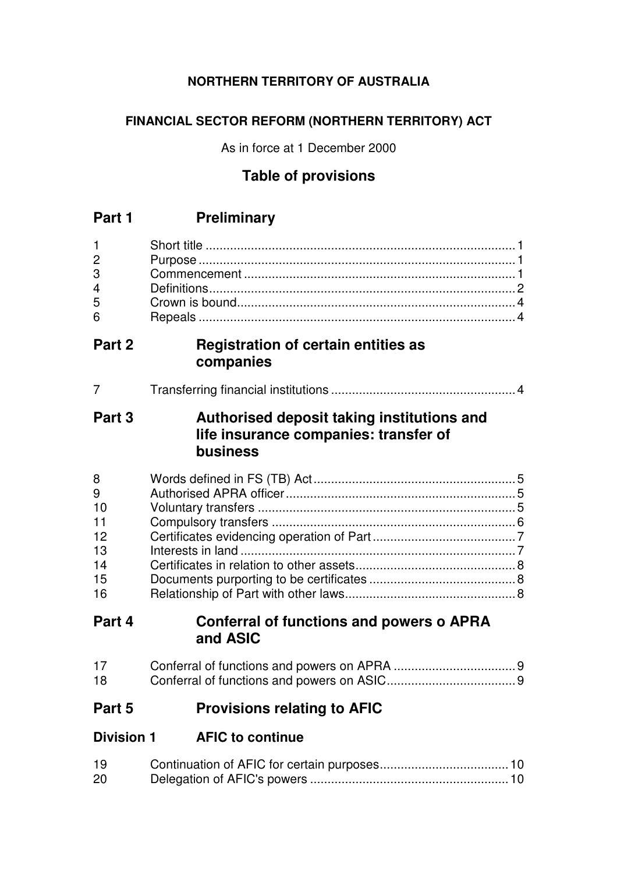# **NORTHERN TERRITORY OF AUSTRALIA**

# **FINANCIAL SECTOR REFORM (NORTHERN TERRITORY) ACT**

As in force at 1 December 2000

# **Table of provisions**

| $\mathbf{1}$<br>$\overline{c}$<br>3<br>$\overline{4}$<br>5<br>6 |                                                                                                 |
|-----------------------------------------------------------------|-------------------------------------------------------------------------------------------------|
| Part 2                                                          | Registration of certain entities as<br>companies                                                |
| 7                                                               |                                                                                                 |
| Part 3                                                          | Authorised deposit taking institutions and<br>life insurance companies: transfer of<br>business |
| 8<br>9<br>10<br>11<br>12<br>13<br>14<br>15<br>16                |                                                                                                 |
| Part 4                                                          | <b>Conferral of functions and powers o APRA</b><br>and ASIC                                     |
| 17                                                              |                                                                                                 |

18 Conferral of functions and powers on ASIC.....................................9

# **Part 5 Provisions relating to AFIC**

| <b>Division 1</b> | <b>AFIC to continue</b> |
|-------------------|-------------------------|
|                   |                         |

| 19 |  |
|----|--|
| 20 |  |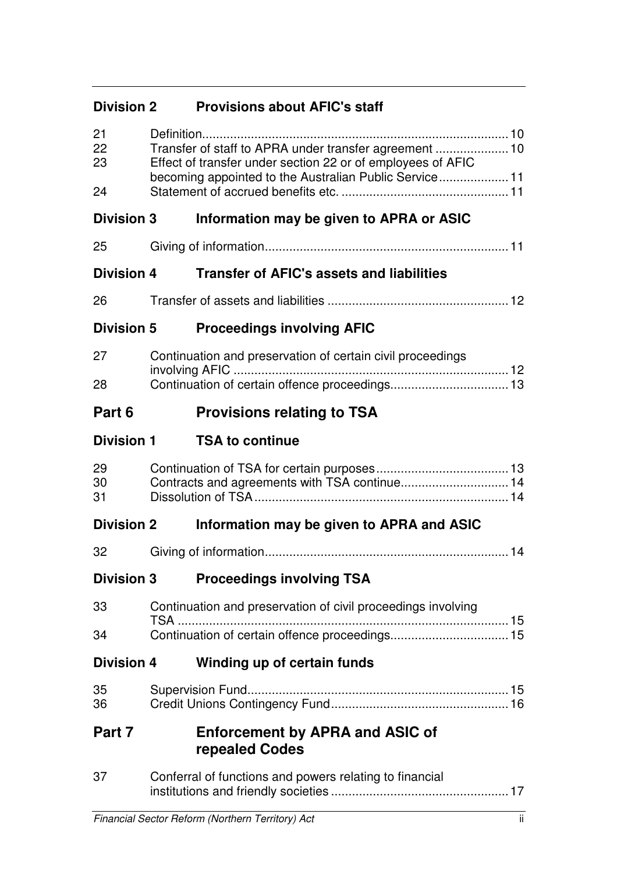# **Division 2 Provisions about AFIC's staff**

| 21<br>22<br>23<br>24 | Transfer of staff to APRA under transfer agreement  10<br>Effect of transfer under section 22 or of employees of AFIC<br>becoming appointed to the Australian Public Service 11 |  |
|----------------------|---------------------------------------------------------------------------------------------------------------------------------------------------------------------------------|--|
| <b>Division 3</b>    | Information may be given to APRA or ASIC                                                                                                                                        |  |
| 25                   |                                                                                                                                                                                 |  |
| <b>Division 4</b>    | <b>Transfer of AFIC's assets and liabilities</b>                                                                                                                                |  |
| 26                   |                                                                                                                                                                                 |  |
| <b>Division 5</b>    | <b>Proceedings involving AFIC</b>                                                                                                                                               |  |
| 27                   | Continuation and preservation of certain civil proceedings                                                                                                                      |  |
| 28                   |                                                                                                                                                                                 |  |
| Part 6               | <b>Provisions relating to TSA</b>                                                                                                                                               |  |
| <b>Division 1</b>    | <b>TSA to continue</b>                                                                                                                                                          |  |
| 29<br>30<br>31       |                                                                                                                                                                                 |  |
| <b>Division 2</b>    | Information may be given to APRA and ASIC                                                                                                                                       |  |
| 32                   |                                                                                                                                                                                 |  |
| <b>Division 3</b>    | <b>Proceedings involving TSA</b>                                                                                                                                                |  |
| 33                   | Continuation and preservation of civil proceedings involving<br>TSA                                                                                                             |  |
| 34                   |                                                                                                                                                                                 |  |
| <b>Division 4</b>    | Winding up of certain funds                                                                                                                                                     |  |
| 35<br>36             |                                                                                                                                                                                 |  |
| Part 7               | <b>Enforcement by APRA and ASIC of</b><br>repealed Codes                                                                                                                        |  |
| 37                   | Conferral of functions and powers relating to financial                                                                                                                         |  |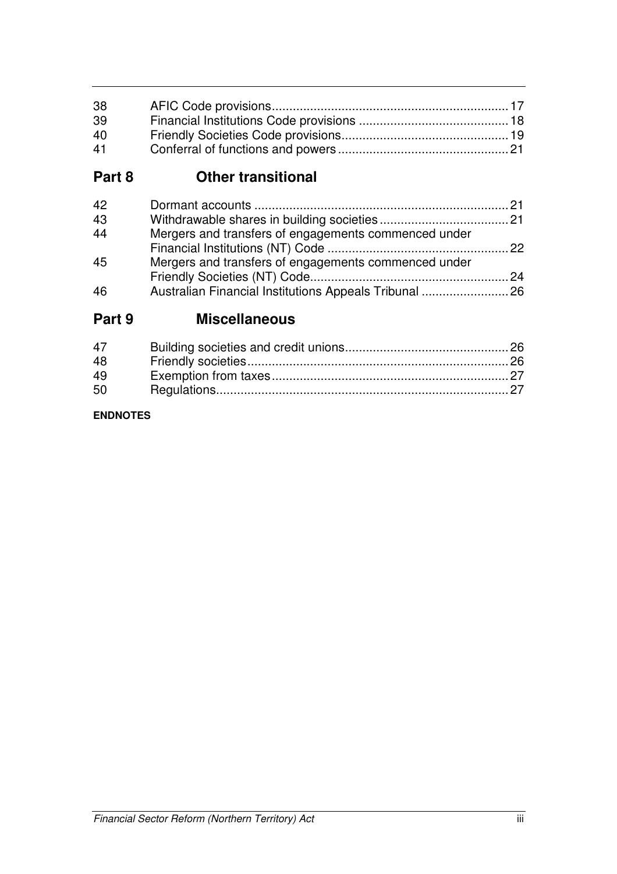| 38 |  |
|----|--|
| 39 |  |
| 40 |  |
| 41 |  |

# **Part 8 Other transitional**

| 42 |                                                        |  |
|----|--------------------------------------------------------|--|
| 43 |                                                        |  |
| 44 | Mergers and transfers of engagements commenced under   |  |
|    |                                                        |  |
| 45 | Mergers and transfers of engagements commenced under   |  |
|    |                                                        |  |
| 46 | Australian Financial Institutions Appeals Tribunal  26 |  |

# **Part 9 Miscellaneous**

### **ENDNOTES**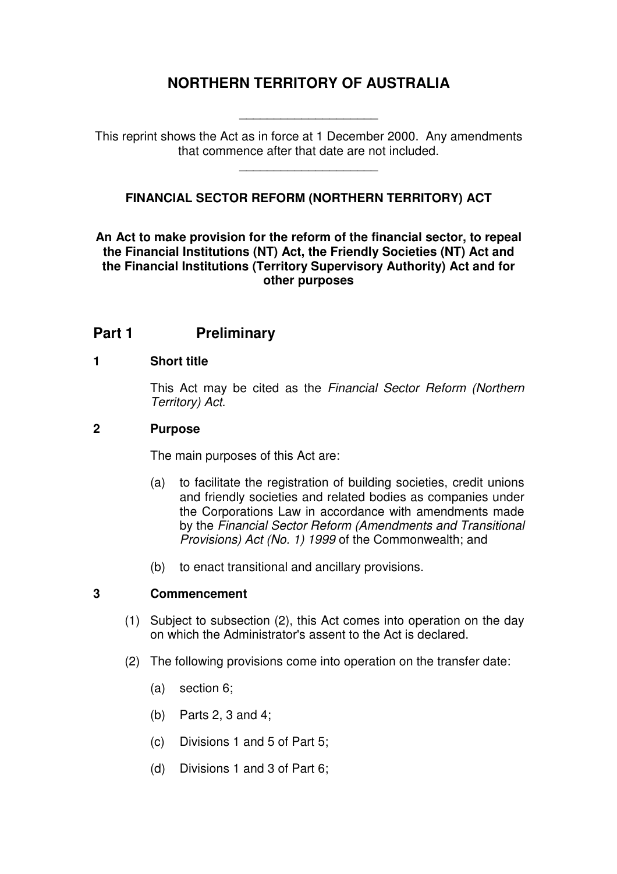# **NORTHERN TERRITORY OF AUSTRALIA**

This reprint shows the Act as in force at 1 December 2000. Any amendments that commence after that date are not included.

\_\_\_\_\_\_\_\_\_\_\_\_\_\_\_\_\_\_\_\_

\_\_\_\_\_\_\_\_\_\_\_\_\_\_\_\_\_\_\_\_

## **FINANCIAL SECTOR REFORM (NORTHERN TERRITORY) ACT**

**An Act to make provision for the reform of the financial sector, to repeal the Financial Institutions (NT) Act, the Friendly Societies (NT) Act and the Financial Institutions (Territory Supervisory Authority) Act and for other purposes** 

# **Part 1** Preliminary

#### **1 Short title**

This Act may be cited as the Financial Sector Reform (Northern Territory) Act.

#### **2 Purpose**

The main purposes of this Act are:

- (a) to facilitate the registration of building societies, credit unions and friendly societies and related bodies as companies under the Corporations Law in accordance with amendments made by the Financial Sector Reform (Amendments and Transitional Provisions) Act (No. 1) 1999 of the Commonwealth; and
- (b) to enact transitional and ancillary provisions.

#### **3 Commencement**

- (1) Subject to subsection (2), this Act comes into operation on the day on which the Administrator's assent to the Act is declared.
- (2) The following provisions come into operation on the transfer date:
	- (a) section 6;
	- (b) Parts 2, 3 and 4;
	- (c) Divisions 1 and 5 of Part 5;
	- (d) Divisions 1 and 3 of Part 6;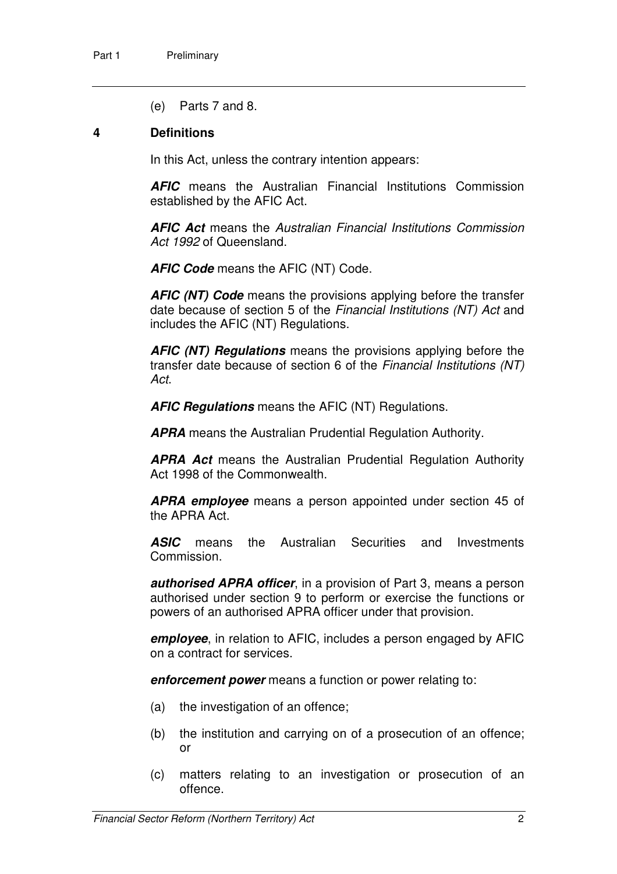(e) Parts 7 and 8.

#### **4 Definitions**

In this Act, unless the contrary intention appears:

**AFIC** means the Australian Financial Institutions Commission established by the AFIC Act.

**AFIC Act** means the Australian Financial Institutions Commission Act 1992 of Queensland.

**AFIC Code** means the AFIC (NT) Code.

**AFIC (NT) Code** means the provisions applying before the transfer date because of section 5 of the Financial Institutions (NT) Act and includes the AFIC (NT) Regulations.

**AFIC (NT) Regulations** means the provisions applying before the transfer date because of section 6 of the Financial Institutions (NT) Act.

**AFIC Regulations** means the AFIC (NT) Regulations.

**APRA** means the Australian Prudential Regulation Authority.

**APRA Act** means the Australian Prudential Regulation Authority Act 1998 of the Commonwealth.

**APRA employee** means a person appointed under section 45 of the APRA Act.

**ASIC** means the Australian Securities and Investments Commission.

**authorised APRA officer**, in a provision of Part 3, means a person authorised under section 9 to perform or exercise the functions or powers of an authorised APRA officer under that provision.

**employee**, in relation to AFIC, includes a person engaged by AFIC on a contract for services.

**enforcement power** means a function or power relating to:

- (a) the investigation of an offence;
- (b) the institution and carrying on of a prosecution of an offence; or
- (c) matters relating to an investigation or prosecution of an offence.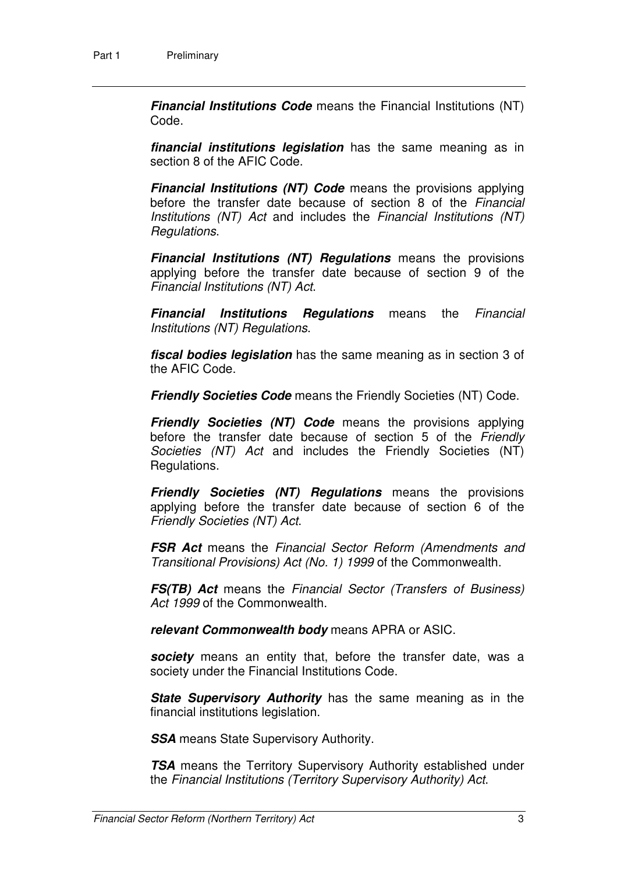**Financial Institutions Code** means the Financial Institutions (NT) Code.

**financial institutions legislation** has the same meaning as in section 8 of the AFIC Code.

**Financial Institutions (NT) Code** means the provisions applying before the transfer date because of section 8 of the Financial Institutions (NT) Act and includes the Financial Institutions (NT) Regulations.

**Financial Institutions (NT) Regulations** means the provisions applying before the transfer date because of section 9 of the Financial Institutions (NT) Act.

**Financial Institutions Regulations** means the Financial Institutions (NT) Regulations.

**fiscal bodies legislation** has the same meaning as in section 3 of the AFIC Code.

**Friendly Societies Code** means the Friendly Societies (NT) Code.

**Friendly Societies (NT) Code** means the provisions applying before the transfer date because of section 5 of the Friendly Societies (NT) Act and includes the Friendly Societies (NT) Regulations.

**Friendly Societies (NT) Regulations** means the provisions applying before the transfer date because of section 6 of the Friendly Societies (NT) Act.

**FSR Act** means the Financial Sector Reform (Amendments and Transitional Provisions) Act (No. 1) 1999 of the Commonwealth.

**FS(TB) Act** means the Financial Sector (Transfers of Business) Act 1999 of the Commonwealth.

**relevant Commonwealth body** means APRA or ASIC.

**society** means an entity that, before the transfer date, was a society under the Financial Institutions Code.

**State Supervisory Authority** has the same meaning as in the financial institutions legislation.

**SSA** means State Supervisory Authority.

**TSA** means the Territory Supervisory Authority established under the Financial Institutions (Territory Supervisory Authority) Act.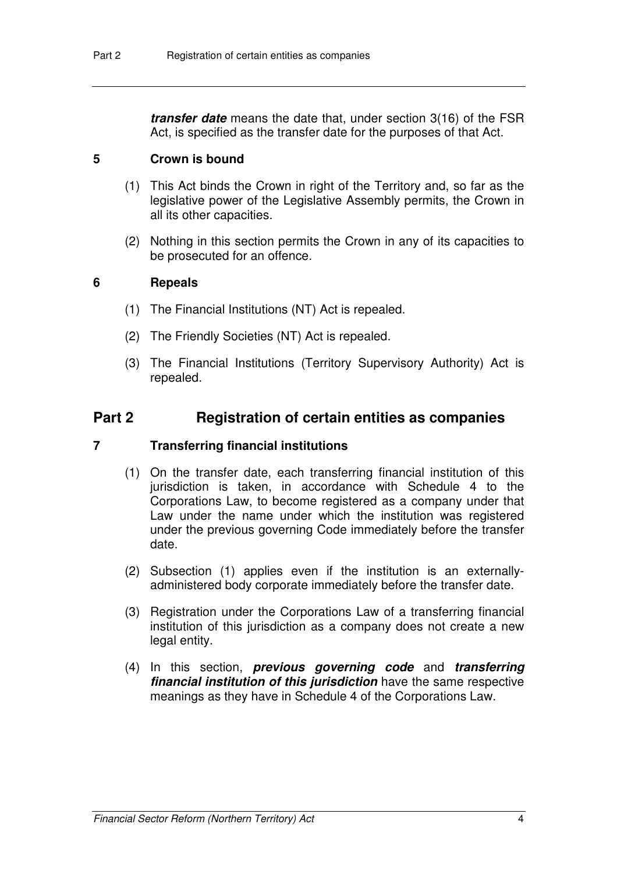**transfer date** means the date that, under section 3(16) of the FSR Act, is specified as the transfer date for the purposes of that Act.

#### **5 Crown is bound**

- (1) This Act binds the Crown in right of the Territory and, so far as the legislative power of the Legislative Assembly permits, the Crown in all its other capacities.
- (2) Nothing in this section permits the Crown in any of its capacities to be prosecuted for an offence.

#### **6 Repeals**

- (1) The Financial Institutions (NT) Act is repealed.
- (2) The Friendly Societies (NT) Act is repealed.
- (3) The Financial Institutions (Territory Supervisory Authority) Act is repealed.

# **Part 2 Registration of certain entities as companies**

#### **7 Transferring financial institutions**

- (1) On the transfer date, each transferring financial institution of this jurisdiction is taken, in accordance with Schedule 4 to the Corporations Law, to become registered as a company under that Law under the name under which the institution was registered under the previous governing Code immediately before the transfer date.
- (2) Subsection (1) applies even if the institution is an externallyadministered body corporate immediately before the transfer date.
- (3) Registration under the Corporations Law of a transferring financial institution of this jurisdiction as a company does not create a new legal entity.
- (4) In this section, **previous governing code** and **transferring financial institution of this jurisdiction** have the same respective meanings as they have in Schedule 4 of the Corporations Law.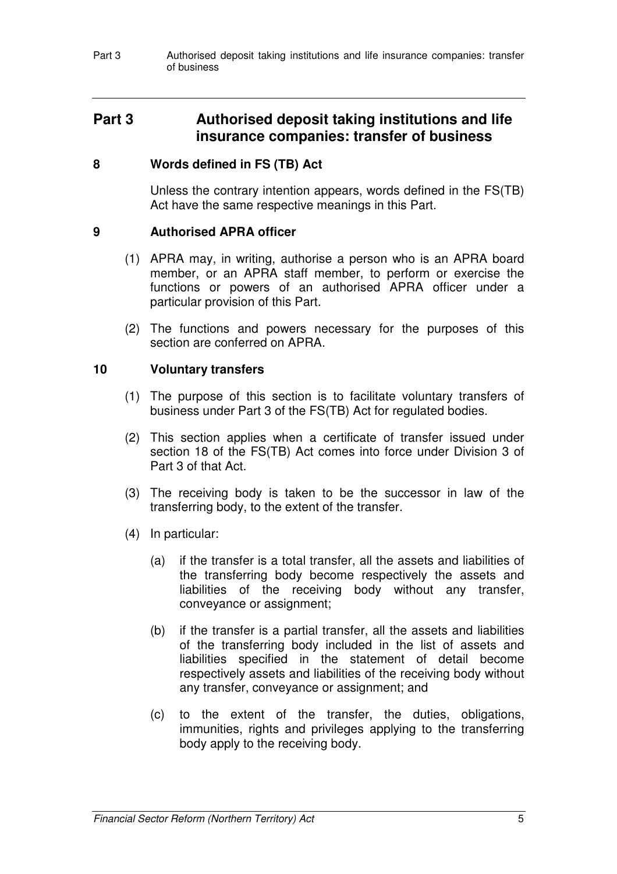Part 3 **Authorised deposit taking institutions and life insurance companies: transfer** of business

# **Part 3 Authorised deposit taking institutions and life insurance companies: transfer of business**

#### **8 Words defined in FS (TB) Act**

Unless the contrary intention appears, words defined in the FS(TB) Act have the same respective meanings in this Part.

#### **9 Authorised APRA officer**

- (1) APRA may, in writing, authorise a person who is an APRA board member, or an APRA staff member, to perform or exercise the functions or powers of an authorised APRA officer under a particular provision of this Part.
- (2) The functions and powers necessary for the purposes of this section are conferred on APRA.

#### **10 Voluntary transfers**

- (1) The purpose of this section is to facilitate voluntary transfers of business under Part 3 of the FS(TB) Act for regulated bodies.
- (2) This section applies when a certificate of transfer issued under section 18 of the FS(TB) Act comes into force under Division 3 of Part 3 of that Act.
- (3) The receiving body is taken to be the successor in law of the transferring body, to the extent of the transfer.
- (4) In particular:
	- (a) if the transfer is a total transfer, all the assets and liabilities of the transferring body become respectively the assets and liabilities of the receiving body without any transfer, conveyance or assignment;
	- (b) if the transfer is a partial transfer, all the assets and liabilities of the transferring body included in the list of assets and liabilities specified in the statement of detail become respectively assets and liabilities of the receiving body without any transfer, conveyance or assignment; and
	- (c) to the extent of the transfer, the duties, obligations, immunities, rights and privileges applying to the transferring body apply to the receiving body.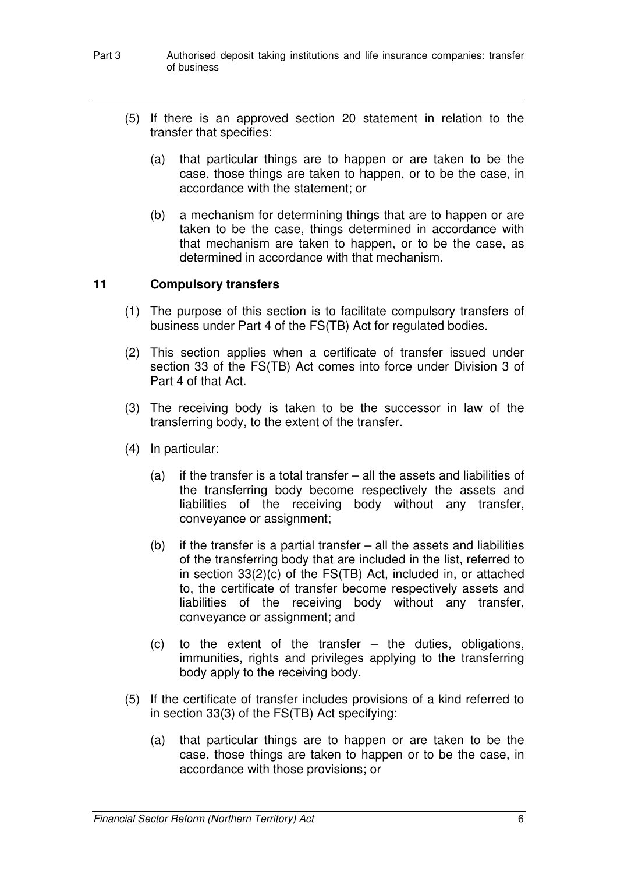#### Part 3 **Authorised deposit taking institutions and life insurance companies: transfer** of business

- (5) If there is an approved section 20 statement in relation to the transfer that specifies:
	- (a) that particular things are to happen or are taken to be the case, those things are taken to happen, or to be the case, in accordance with the statement; or
	- (b) a mechanism for determining things that are to happen or are taken to be the case, things determined in accordance with that mechanism are taken to happen, or to be the case, as determined in accordance with that mechanism.

#### **11 Compulsory transfers**

- (1) The purpose of this section is to facilitate compulsory transfers of business under Part 4 of the FS(TB) Act for regulated bodies.
- (2) This section applies when a certificate of transfer issued under section 33 of the FS(TB) Act comes into force under Division 3 of Part 4 of that Act.
- (3) The receiving body is taken to be the successor in law of the transferring body, to the extent of the transfer.
- (4) In particular:
	- (a) if the transfer is a total transfer all the assets and liabilities of the transferring body become respectively the assets and liabilities of the receiving body without any transfer, conveyance or assignment;
	- (b) if the transfer is a partial transfer all the assets and liabilities of the transferring body that are included in the list, referred to in section 33(2)(c) of the FS(TB) Act, included in, or attached to, the certificate of transfer become respectively assets and liabilities of the receiving body without any transfer, conveyance or assignment; and
	- (c) to the extent of the transfer the duties, obligations, immunities, rights and privileges applying to the transferring body apply to the receiving body.
- (5) If the certificate of transfer includes provisions of a kind referred to in section 33(3) of the FS(TB) Act specifying:
	- (a) that particular things are to happen or are taken to be the case, those things are taken to happen or to be the case, in accordance with those provisions; or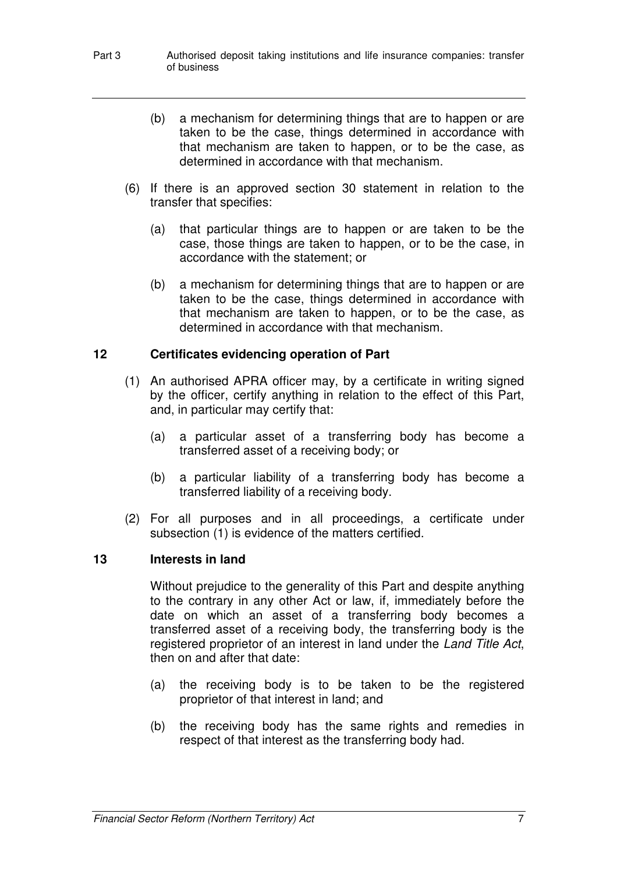- Part 3 **Authorised deposit taking institutions and life insurance companies: transfer** of business
	- (b) a mechanism for determining things that are to happen or are taken to be the case, things determined in accordance with that mechanism are taken to happen, or to be the case, as determined in accordance with that mechanism.
	- (6) If there is an approved section 30 statement in relation to the transfer that specifies:
		- (a) that particular things are to happen or are taken to be the case, those things are taken to happen, or to be the case, in accordance with the statement; or
		- (b) a mechanism for determining things that are to happen or are taken to be the case, things determined in accordance with that mechanism are taken to happen, or to be the case, as determined in accordance with that mechanism.

#### **12 Certificates evidencing operation of Part**

- (1) An authorised APRA officer may, by a certificate in writing signed by the officer, certify anything in relation to the effect of this Part, and, in particular may certify that:
	- (a) a particular asset of a transferring body has become a transferred asset of a receiving body; or
	- (b) a particular liability of a transferring body has become a transferred liability of a receiving body.
- (2) For all purposes and in all proceedings, a certificate under subsection (1) is evidence of the matters certified.

#### **13 Interests in land**

Without prejudice to the generality of this Part and despite anything to the contrary in any other Act or law, if, immediately before the date on which an asset of a transferring body becomes a transferred asset of a receiving body, the transferring body is the registered proprietor of an interest in land under the Land Title Act, then on and after that date:

- (a) the receiving body is to be taken to be the registered proprietor of that interest in land; and
- (b) the receiving body has the same rights and remedies in respect of that interest as the transferring body had.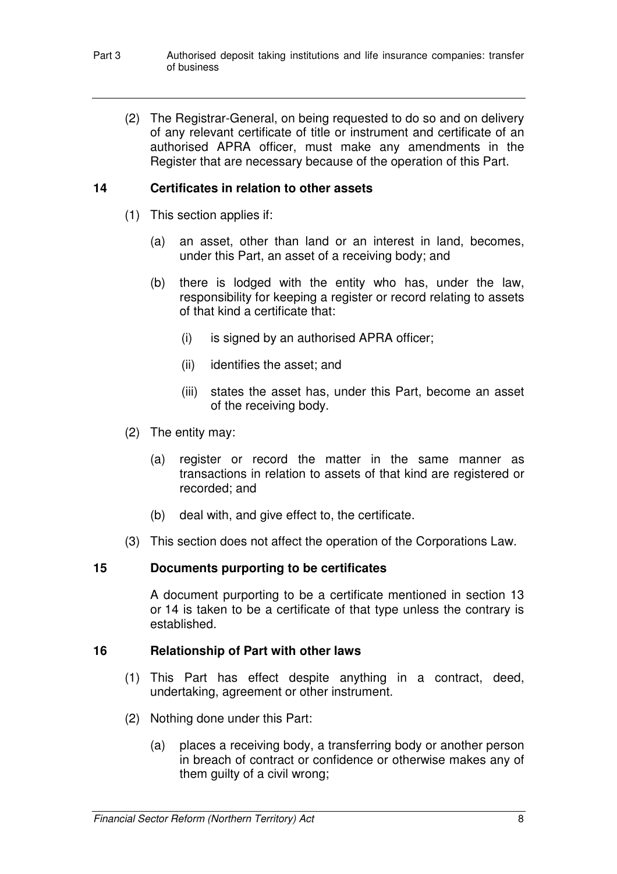(2) The Registrar-General, on being requested to do so and on delivery of any relevant certificate of title or instrument and certificate of an authorised APRA officer, must make any amendments in the Register that are necessary because of the operation of this Part.

#### **14 Certificates in relation to other assets**

- (1) This section applies if:
	- (a) an asset, other than land or an interest in land, becomes, under this Part, an asset of a receiving body; and
	- (b) there is lodged with the entity who has, under the law, responsibility for keeping a register or record relating to assets of that kind a certificate that:
		- (i) is signed by an authorised APRA officer;
		- (ii) identifies the asset; and
		- (iii) states the asset has, under this Part, become an asset of the receiving body.
- (2) The entity may:
	- (a) register or record the matter in the same manner as transactions in relation to assets of that kind are registered or recorded; and
	- (b) deal with, and give effect to, the certificate.
- (3) This section does not affect the operation of the Corporations Law.

### **15 Documents purporting to be certificates**

A document purporting to be a certificate mentioned in section 13 or 14 is taken to be a certificate of that type unless the contrary is established.

### **16 Relationship of Part with other laws**

- (1) This Part has effect despite anything in a contract, deed, undertaking, agreement or other instrument.
- (2) Nothing done under this Part:
	- (a) places a receiving body, a transferring body or another person in breach of contract or confidence or otherwise makes any of them guilty of a civil wrong;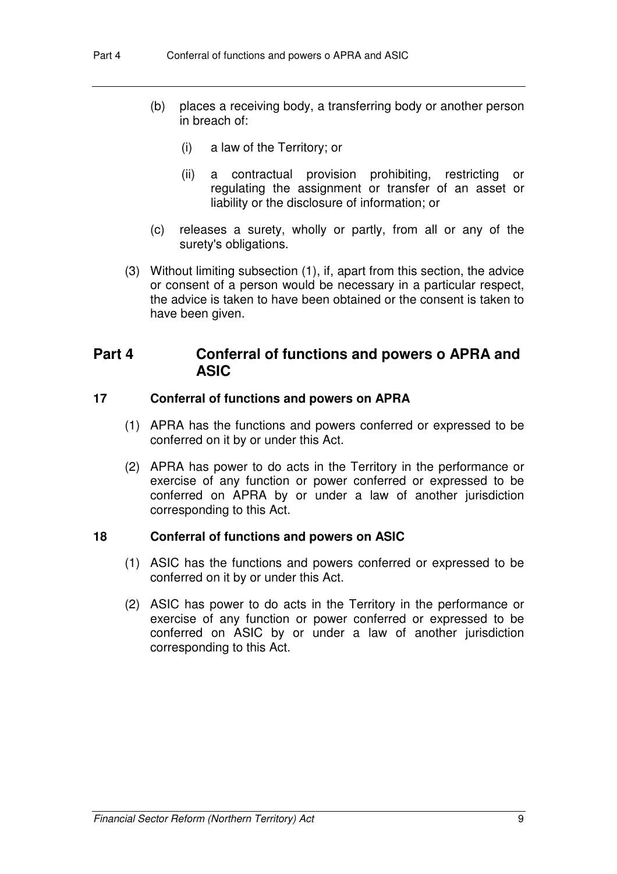- (b) places a receiving body, a transferring body or another person in breach of:
	- (i) a law of the Territory; or
	- (ii) a contractual provision prohibiting, restricting or regulating the assignment or transfer of an asset or liability or the disclosure of information; or
- (c) releases a surety, wholly or partly, from all or any of the surety's obligations.
- (3) Without limiting subsection (1), if, apart from this section, the advice or consent of a person would be necessary in a particular respect, the advice is taken to have been obtained or the consent is taken to have been given.

# **Part 4 Conferral of functions and powers o APRA and ASIC**

#### **17 Conferral of functions and powers on APRA**

- (1) APRA has the functions and powers conferred or expressed to be conferred on it by or under this Act.
- (2) APRA has power to do acts in the Territory in the performance or exercise of any function or power conferred or expressed to be conferred on APRA by or under a law of another jurisdiction corresponding to this Act.

#### **18 Conferral of functions and powers on ASIC**

- (1) ASIC has the functions and powers conferred or expressed to be conferred on it by or under this Act.
- (2) ASIC has power to do acts in the Territory in the performance or exercise of any function or power conferred or expressed to be conferred on ASIC by or under a law of another jurisdiction corresponding to this Act.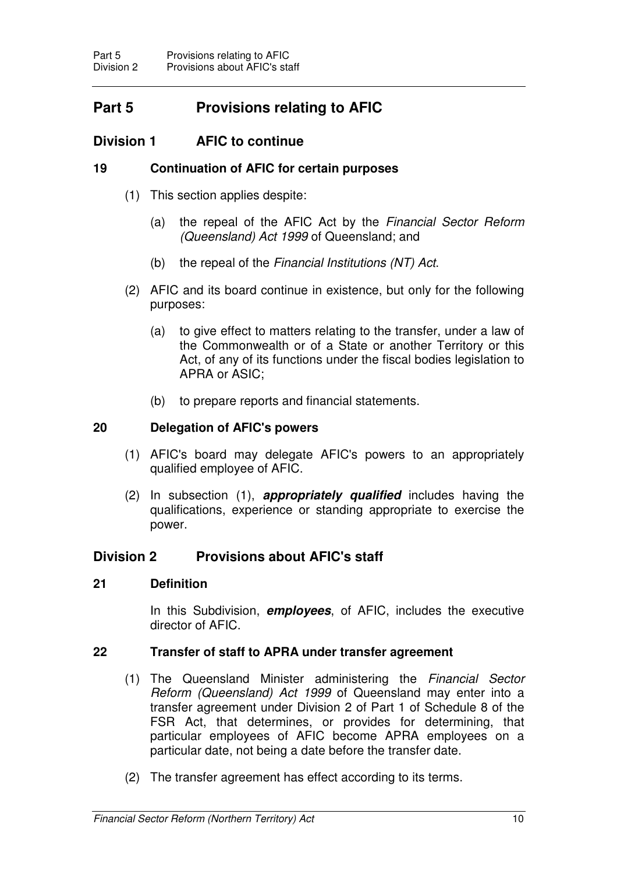# **Part 5 Provisions relating to AFIC**

# **Division 1 AFIC to continue**

#### **19 Continuation of AFIC for certain purposes**

- (1) This section applies despite:
	- (a) the repeal of the AFIC Act by the Financial Sector Reform (Queensland) Act 1999 of Queensland; and
	- (b) the repeal of the Financial Institutions (NT) Act.
- (2) AFIC and its board continue in existence, but only for the following purposes:
	- (a) to give effect to matters relating to the transfer, under a law of the Commonwealth or of a State or another Territory or this Act, of any of its functions under the fiscal bodies legislation to APRA or ASIC;
	- (b) to prepare reports and financial statements.

#### **20 Delegation of AFIC's powers**

- (1) AFIC's board may delegate AFIC's powers to an appropriately qualified employee of AFIC.
- (2) In subsection (1), **appropriately qualified** includes having the qualifications, experience or standing appropriate to exercise the power.

#### **Division 2 Provisions about AFIC's staff**

#### **21 Definition**

In this Subdivision, **employees**, of AFIC, includes the executive director of AFIC.

#### **22 Transfer of staff to APRA under transfer agreement**

- (1) The Queensland Minister administering the Financial Sector Reform (Queensland) Act 1999 of Queensland may enter into a transfer agreement under Division 2 of Part 1 of Schedule 8 of the FSR Act, that determines, or provides for determining, that particular employees of AFIC become APRA employees on a particular date, not being a date before the transfer date.
- (2) The transfer agreement has effect according to its terms.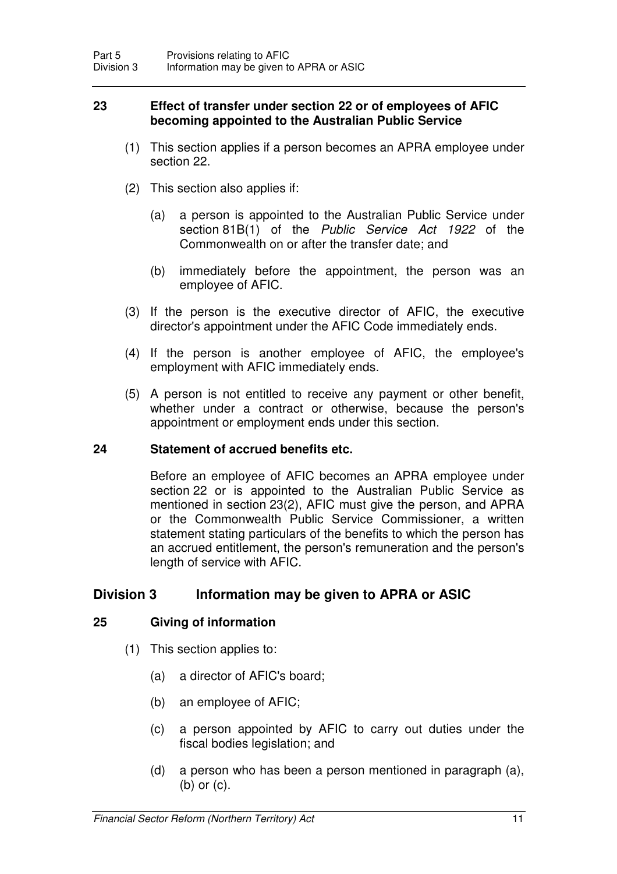#### **23 Effect of transfer under section 22 or of employees of AFIC becoming appointed to the Australian Public Service**

- (1) This section applies if a person becomes an APRA employee under section 22.
- (2) This section also applies if:
	- (a) a person is appointed to the Australian Public Service under section 81B(1) of the Public Service Act 1922 of the Commonwealth on or after the transfer date; and
	- (b) immediately before the appointment, the person was an employee of AFIC.
- (3) If the person is the executive director of AFIC, the executive director's appointment under the AFIC Code immediately ends.
- (4) If the person is another employee of AFIC, the employee's employment with AFIC immediately ends.
- (5) A person is not entitled to receive any payment or other benefit, whether under a contract or otherwise, because the person's appointment or employment ends under this section.

#### **24 Statement of accrued benefits etc.**

Before an employee of AFIC becomes an APRA employee under section 22 or is appointed to the Australian Public Service as mentioned in section 23(2), AFIC must give the person, and APRA or the Commonwealth Public Service Commissioner, a written statement stating particulars of the benefits to which the person has an accrued entitlement, the person's remuneration and the person's length of service with AFIC.

# **Division 3 Information may be given to APRA or ASIC**

### **25 Giving of information**

- (1) This section applies to:
	- (a) a director of AFIC's board;
	- (b) an employee of AFIC;
	- (c) a person appointed by AFIC to carry out duties under the fiscal bodies legislation; and
	- (d) a person who has been a person mentioned in paragraph (a), (b) or (c).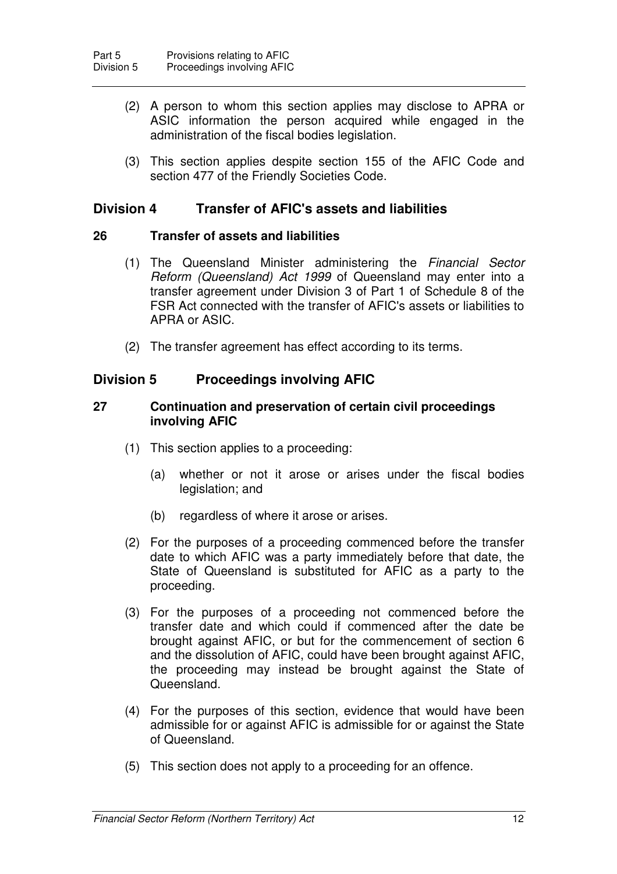- (2) A person to whom this section applies may disclose to APRA or ASIC information the person acquired while engaged in the administration of the fiscal bodies legislation.
- (3) This section applies despite section 155 of the AFIC Code and section 477 of the Friendly Societies Code.

### **Division 4 Transfer of AFIC's assets and liabilities**

#### **26 Transfer of assets and liabilities**

- (1) The Queensland Minister administering the Financial Sector Reform (Queensland) Act 1999 of Queensland may enter into a transfer agreement under Division 3 of Part 1 of Schedule 8 of the FSR Act connected with the transfer of AFIC's assets or liabilities to APRA or ASIC.
- (2) The transfer agreement has effect according to its terms.

# **Division 5 Proceedings involving AFIC**

#### **27 Continuation and preservation of certain civil proceedings involving AFIC**

- (1) This section applies to a proceeding:
	- (a) whether or not it arose or arises under the fiscal bodies legislation; and
	- (b) regardless of where it arose or arises.
- (2) For the purposes of a proceeding commenced before the transfer date to which AFIC was a party immediately before that date, the State of Queensland is substituted for AFIC as a party to the proceeding.
- (3) For the purposes of a proceeding not commenced before the transfer date and which could if commenced after the date be brought against AFIC, or but for the commencement of section 6 and the dissolution of AFIC, could have been brought against AFIC, the proceeding may instead be brought against the State of Queensland.
- (4) For the purposes of this section, evidence that would have been admissible for or against AFIC is admissible for or against the State of Queensland.
- (5) This section does not apply to a proceeding for an offence.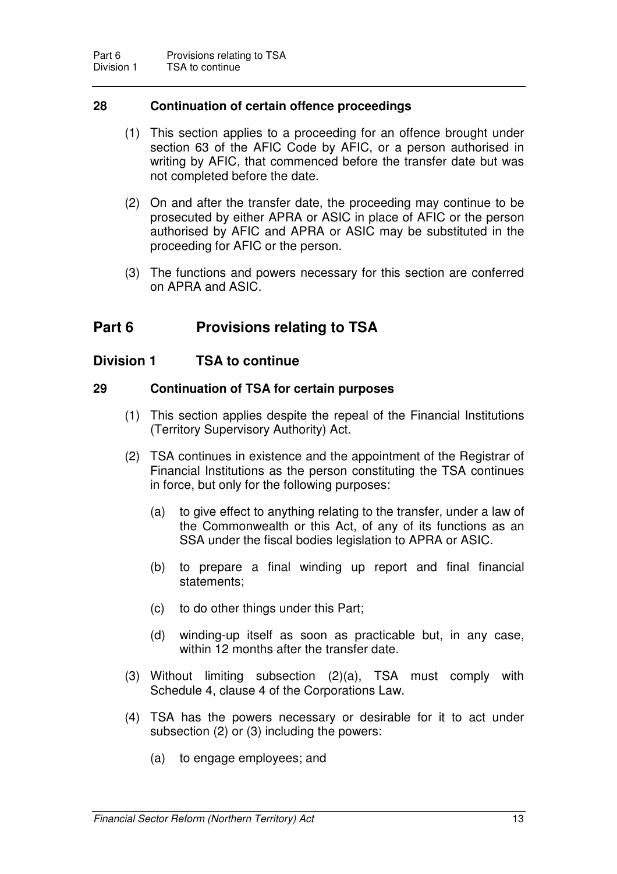#### **28 Continuation of certain offence proceedings**

- (1) This section applies to a proceeding for an offence brought under section 63 of the AFIC Code by AFIC, or a person authorised in writing by AFIC, that commenced before the transfer date but was not completed before the date.
- (2) On and after the transfer date, the proceeding may continue to be prosecuted by either APRA or ASIC in place of AFIC or the person authorised by AFIC and APRA or ASIC may be substituted in the proceeding for AFIC or the person.
- (3) The functions and powers necessary for this section are conferred on APRA and ASIC.

# **Part 6 Provisions relating to TSA**

#### **Division 1 TSA to continue**

#### **29 Continuation of TSA for certain purposes**

- (1) This section applies despite the repeal of the Financial Institutions (Territory Supervisory Authority) Act.
- (2) TSA continues in existence and the appointment of the Registrar of Financial Institutions as the person constituting the TSA continues in force, but only for the following purposes:
	- (a) to give effect to anything relating to the transfer, under a law of the Commonwealth or this Act, of any of its functions as an SSA under the fiscal bodies legislation to APRA or ASIC.
	- (b) to prepare a final winding up report and final financial statements;
	- (c) to do other things under this Part;
	- (d) winding-up itself as soon as practicable but, in any case, within 12 months after the transfer date.
- (3) Without limiting subsection (2)(a), TSA must comply with Schedule 4, clause 4 of the Corporations Law.
- (4) TSA has the powers necessary or desirable for it to act under subsection (2) or (3) including the powers:
	- (a) to engage employees; and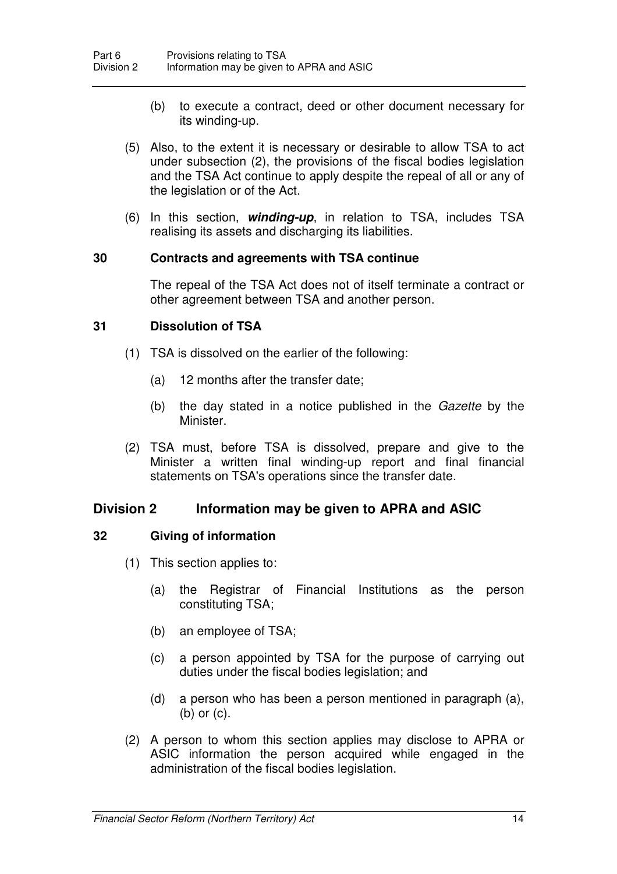- (b) to execute a contract, deed or other document necessary for its winding-up.
- (5) Also, to the extent it is necessary or desirable to allow TSA to act under subsection (2), the provisions of the fiscal bodies legislation and the TSA Act continue to apply despite the repeal of all or any of the legislation or of the Act.
- (6) In this section, **winding-up**, in relation to TSA, includes TSA realising its assets and discharging its liabilities.

#### **30 Contracts and agreements with TSA continue**

The repeal of the TSA Act does not of itself terminate a contract or other agreement between TSA and another person.

#### **31 Dissolution of TSA**

- (1) TSA is dissolved on the earlier of the following:
	- (a) 12 months after the transfer date;
	- (b) the day stated in a notice published in the Gazette by the Minister.
- (2) TSA must, before TSA is dissolved, prepare and give to the Minister a written final winding-up report and final financial statements on TSA's operations since the transfer date.

#### **Division 2 Information may be given to APRA and ASIC**

#### **32 Giving of information**

- (1) This section applies to:
	- (a) the Registrar of Financial Institutions as the person constituting TSA;
	- (b) an employee of TSA;
	- (c) a person appointed by TSA for the purpose of carrying out duties under the fiscal bodies legislation; and
	- (d) a person who has been a person mentioned in paragraph (a), (b) or (c).
- (2) A person to whom this section applies may disclose to APRA or ASIC information the person acquired while engaged in the administration of the fiscal bodies legislation.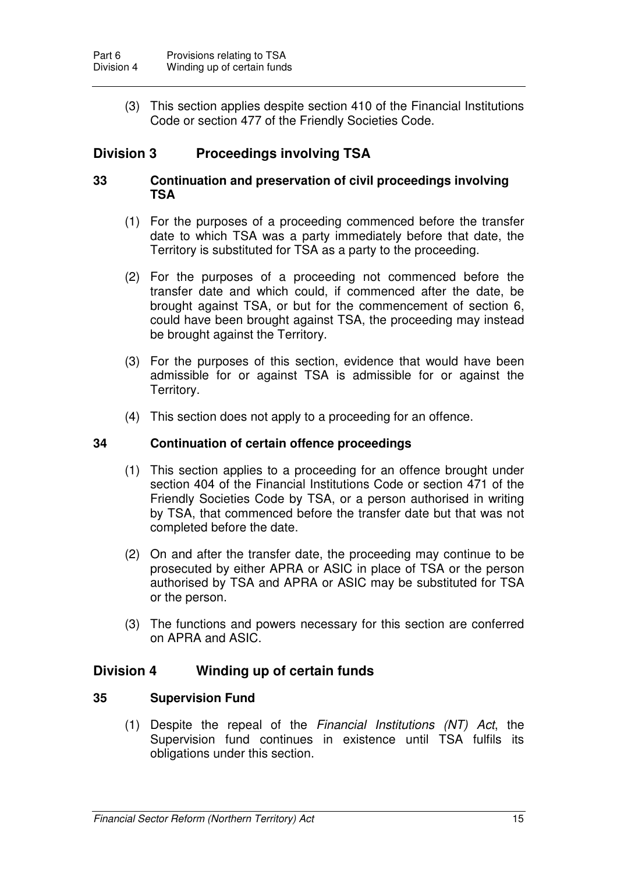(3) This section applies despite section 410 of the Financial Institutions Code or section 477 of the Friendly Societies Code.

# **Division 3 Proceedings involving TSA**

#### **33 Continuation and preservation of civil proceedings involving TSA**

- (1) For the purposes of a proceeding commenced before the transfer date to which TSA was a party immediately before that date, the Territory is substituted for TSA as a party to the proceeding.
- (2) For the purposes of a proceeding not commenced before the transfer date and which could, if commenced after the date, be brought against TSA, or but for the commencement of section 6, could have been brought against TSA, the proceeding may instead be brought against the Territory.
- (3) For the purposes of this section, evidence that would have been admissible for or against TSA is admissible for or against the Territory.
- (4) This section does not apply to a proceeding for an offence.

#### **34 Continuation of certain offence proceedings**

- (1) This section applies to a proceeding for an offence brought under section 404 of the Financial Institutions Code or section 471 of the Friendly Societies Code by TSA, or a person authorised in writing by TSA, that commenced before the transfer date but that was not completed before the date.
- (2) On and after the transfer date, the proceeding may continue to be prosecuted by either APRA or ASIC in place of TSA or the person authorised by TSA and APRA or ASIC may be substituted for TSA or the person.
- (3) The functions and powers necessary for this section are conferred on APRA and ASIC.

### **Division 4 Winding up of certain funds**

#### **35 Supervision Fund**

(1) Despite the repeal of the *Financial Institutions (NT)* Act, the Supervision fund continues in existence until TSA fulfils its obligations under this section.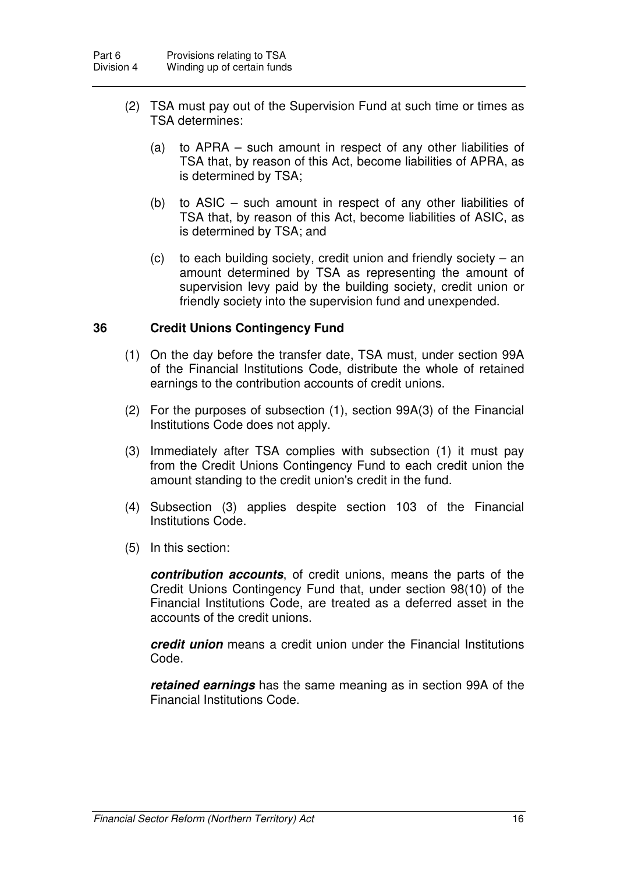- (2) TSA must pay out of the Supervision Fund at such time or times as TSA determines:
	- (a) to APRA such amount in respect of any other liabilities of TSA that, by reason of this Act, become liabilities of APRA, as is determined by TSA;
	- (b) to ASIC such amount in respect of any other liabilities of TSA that, by reason of this Act, become liabilities of ASIC, as is determined by TSA; and
	- (c) to each building society, credit union and friendly society an amount determined by TSA as representing the amount of supervision levy paid by the building society, credit union or friendly society into the supervision fund and unexpended.

#### **36 Credit Unions Contingency Fund**

- (1) On the day before the transfer date, TSA must, under section 99A of the Financial Institutions Code, distribute the whole of retained earnings to the contribution accounts of credit unions.
- (2) For the purposes of subsection (1), section 99A(3) of the Financial Institutions Code does not apply.
- (3) Immediately after TSA complies with subsection (1) it must pay from the Credit Unions Contingency Fund to each credit union the amount standing to the credit union's credit in the fund.
- (4) Subsection (3) applies despite section 103 of the Financial Institutions Code.
- (5) In this section:

**contribution accounts**, of credit unions, means the parts of the Credit Unions Contingency Fund that, under section 98(10) of the Financial Institutions Code, are treated as a deferred asset in the accounts of the credit unions.

**credit union** means a credit union under the Financial Institutions Code.

**retained earnings** has the same meaning as in section 99A of the Financial Institutions Code.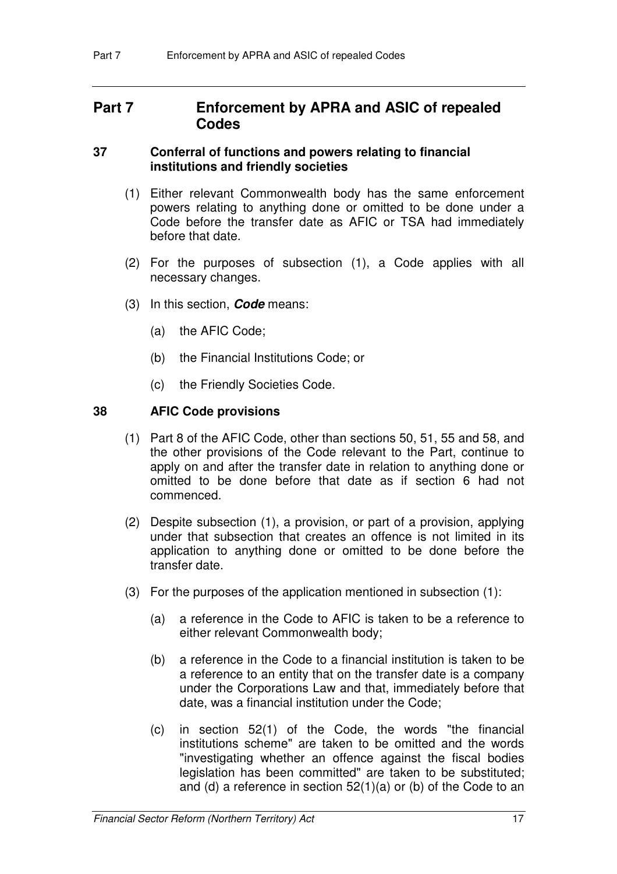# **Part 7 Enforcement by APRA and ASIC of repealed Codes**

#### **37 Conferral of functions and powers relating to financial institutions and friendly societies**

- (1) Either relevant Commonwealth body has the same enforcement powers relating to anything done or omitted to be done under a Code before the transfer date as AFIC or TSA had immediately before that date.
- (2) For the purposes of subsection (1), a Code applies with all necessary changes.
- (3) In this section, **Code** means:
	- (a) the AFIC Code;
	- (b) the Financial Institutions Code; or
	- (c) the Friendly Societies Code.

#### **38 AFIC Code provisions**

- (1) Part 8 of the AFIC Code, other than sections 50, 51, 55 and 58, and the other provisions of the Code relevant to the Part, continue to apply on and after the transfer date in relation to anything done or omitted to be done before that date as if section 6 had not commenced.
- (2) Despite subsection (1), a provision, or part of a provision, applying under that subsection that creates an offence is not limited in its application to anything done or omitted to be done before the transfer date.
- (3) For the purposes of the application mentioned in subsection (1):
	- (a) a reference in the Code to AFIC is taken to be a reference to either relevant Commonwealth body;
	- (b) a reference in the Code to a financial institution is taken to be a reference to an entity that on the transfer date is a company under the Corporations Law and that, immediately before that date, was a financial institution under the Code;
	- (c) in section 52(1) of the Code, the words "the financial institutions scheme" are taken to be omitted and the words "investigating whether an offence against the fiscal bodies legislation has been committed" are taken to be substituted; and (d) a reference in section 52(1)(a) or (b) of the Code to an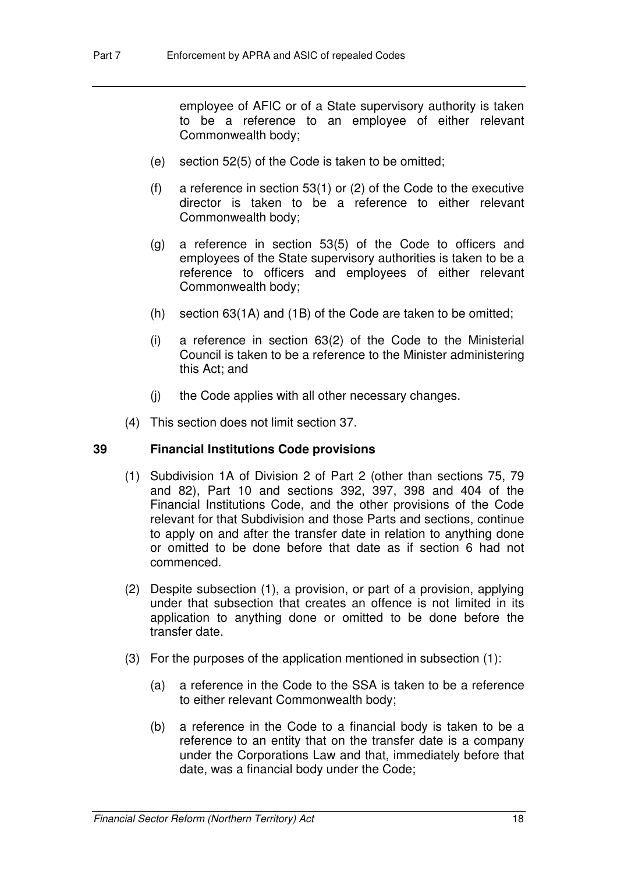employee of AFIC or of a State supervisory authority is taken to be a reference to an employee of either relevant Commonwealth body;

- (e) section 52(5) of the Code is taken to be omitted;
- (f) a reference in section 53(1) or (2) of the Code to the executive director is taken to be a reference to either relevant Commonwealth body;
- (g) a reference in section 53(5) of the Code to officers and employees of the State supervisory authorities is taken to be a reference to officers and employees of either relevant Commonwealth body;
- (h) section 63(1A) and (1B) of the Code are taken to be omitted;
- (i) a reference in section 63(2) of the Code to the Ministerial Council is taken to be a reference to the Minister administering this Act; and
- (j) the Code applies with all other necessary changes.
- (4) This section does not limit section 37.

### **39 Financial Institutions Code provisions**

- (1) Subdivision 1A of Division 2 of Part 2 (other than sections 75, 79 and 82), Part 10 and sections 392, 397, 398 and 404 of the Financial Institutions Code, and the other provisions of the Code relevant for that Subdivision and those Parts and sections, continue to apply on and after the transfer date in relation to anything done or omitted to be done before that date as if section 6 had not commenced.
- (2) Despite subsection (1), a provision, or part of a provision, applying under that subsection that creates an offence is not limited in its application to anything done or omitted to be done before the transfer date.
- (3) For the purposes of the application mentioned in subsection (1):
	- (a) a reference in the Code to the SSA is taken to be a reference to either relevant Commonwealth body;
	- (b) a reference in the Code to a financial body is taken to be a reference to an entity that on the transfer date is a company under the Corporations Law and that, immediately before that date, was a financial body under the Code;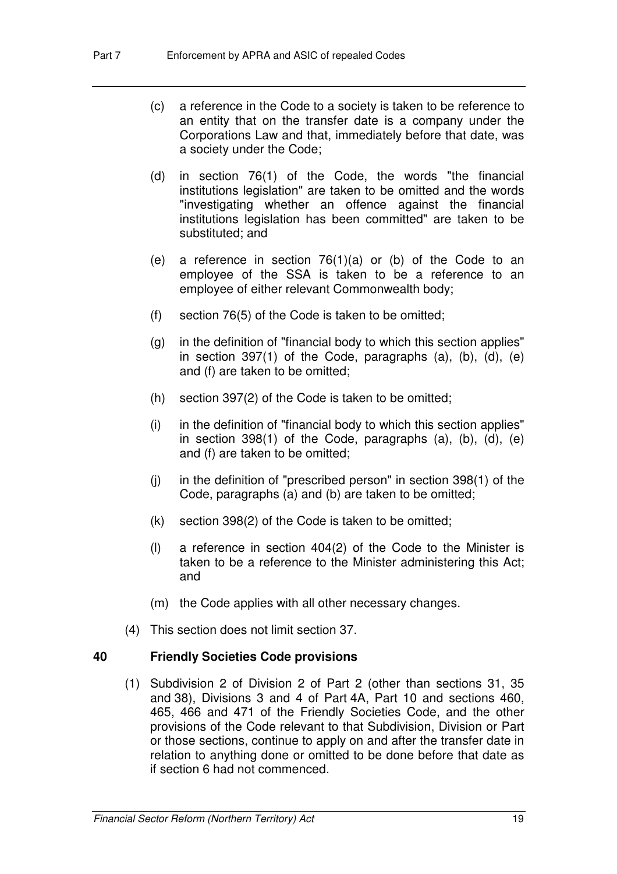- (c) a reference in the Code to a society is taken to be reference to an entity that on the transfer date is a company under the Corporations Law and that, immediately before that date, was a society under the Code;
- (d) in section 76(1) of the Code, the words "the financial institutions legislation" are taken to be omitted and the words "investigating whether an offence against the financial institutions legislation has been committed" are taken to be substituted; and
- (e) a reference in section 76(1)(a) or (b) of the Code to an employee of the SSA is taken to be a reference to an employee of either relevant Commonwealth body;
- (f) section 76(5) of the Code is taken to be omitted;
- (g) in the definition of "financial body to which this section applies" in section 397(1) of the Code, paragraphs (a), (b), (d), (e) and (f) are taken to be omitted;
- (h) section 397(2) of the Code is taken to be omitted;
- (i) in the definition of "financial body to which this section applies" in section 398(1) of the Code, paragraphs (a), (b), (d), (e) and (f) are taken to be omitted;
- (j) in the definition of "prescribed person" in section 398(1) of the Code, paragraphs (a) and (b) are taken to be omitted;
- (k) section 398(2) of the Code is taken to be omitted;
- (l) a reference in section 404(2) of the Code to the Minister is taken to be a reference to the Minister administering this Act; and
- (m) the Code applies with all other necessary changes.
- (4) This section does not limit section 37.

### **40 Friendly Societies Code provisions**

 (1) Subdivision 2 of Division 2 of Part 2 (other than sections 31, 35 and 38), Divisions 3 and 4 of Part 4A, Part 10 and sections 460, 465, 466 and 471 of the Friendly Societies Code, and the other provisions of the Code relevant to that Subdivision, Division or Part or those sections, continue to apply on and after the transfer date in relation to anything done or omitted to be done before that date as if section 6 had not commenced.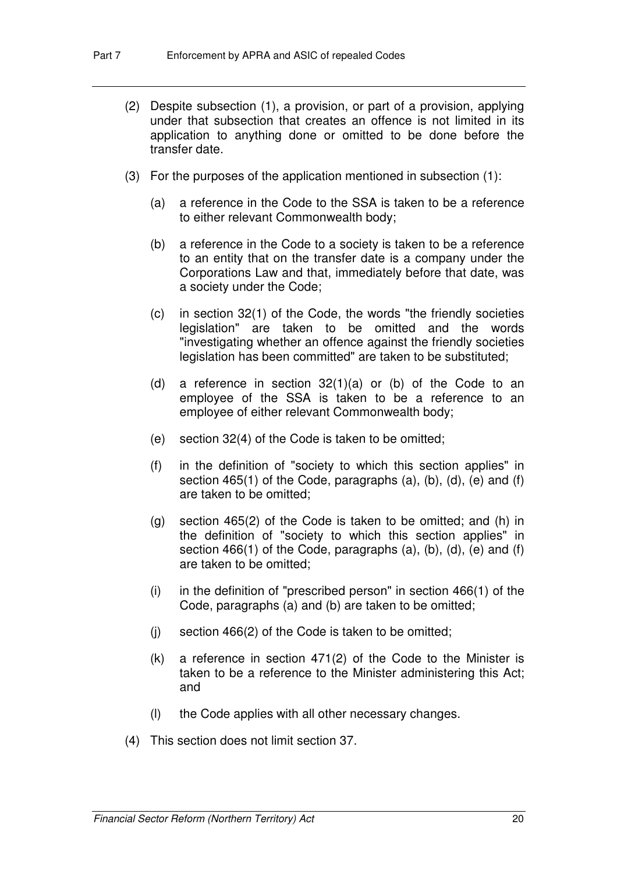- (2) Despite subsection (1), a provision, or part of a provision, applying under that subsection that creates an offence is not limited in its application to anything done or omitted to be done before the transfer date.
- (3) For the purposes of the application mentioned in subsection (1):
	- (a) a reference in the Code to the SSA is taken to be a reference to either relevant Commonwealth body;
	- (b) a reference in the Code to a society is taken to be a reference to an entity that on the transfer date is a company under the Corporations Law and that, immediately before that date, was a society under the Code;
	- (c) in section 32(1) of the Code, the words "the friendly societies legislation" are taken to be omitted and the words "investigating whether an offence against the friendly societies legislation has been committed" are taken to be substituted;
	- (d) a reference in section 32(1)(a) or (b) of the Code to an employee of the SSA is taken to be a reference to an employee of either relevant Commonwealth body;
	- (e) section 32(4) of the Code is taken to be omitted;
	- (f) in the definition of "society to which this section applies" in section 465(1) of the Code, paragraphs (a), (b), (d), (e) and (f) are taken to be omitted;
	- (g) section 465(2) of the Code is taken to be omitted; and (h) in the definition of "society to which this section applies" in section 466(1) of the Code, paragraphs (a), (b), (d), (e) and (f) are taken to be omitted;
	- (i) in the definition of "prescribed person" in section 466(1) of the Code, paragraphs (a) and (b) are taken to be omitted;
	- (i) section  $466(2)$  of the Code is taken to be omitted;
	- (k) a reference in section 471(2) of the Code to the Minister is taken to be a reference to the Minister administering this Act; and
	- (l) the Code applies with all other necessary changes.
- (4) This section does not limit section 37.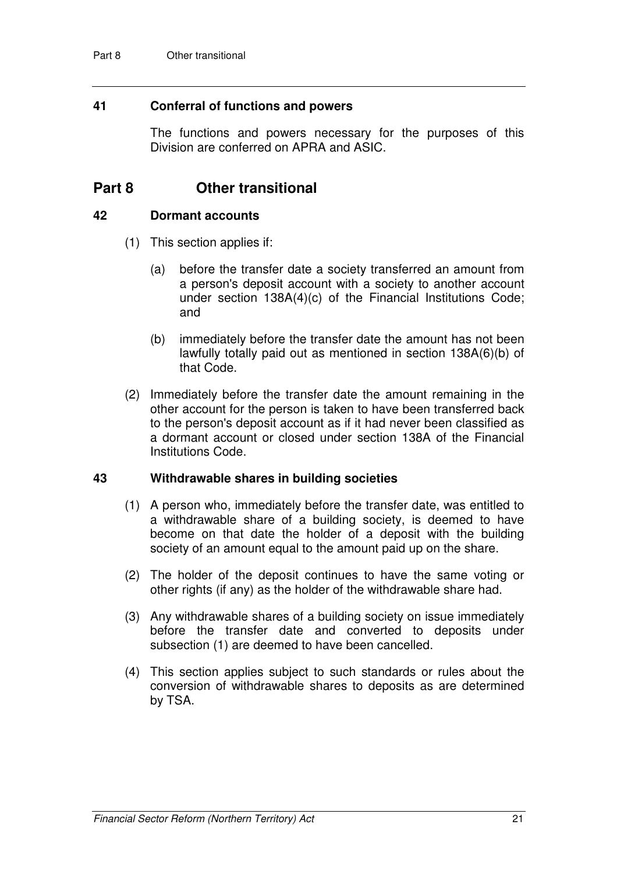#### **41 Conferral of functions and powers**

The functions and powers necessary for the purposes of this Division are conferred on APRA and ASIC.

# **Part 8 Other transitional**

#### **42 Dormant accounts**

- (1) This section applies if:
	- (a) before the transfer date a society transferred an amount from a person's deposit account with a society to another account under section 138A(4)(c) of the Financial Institutions Code; and
	- (b) immediately before the transfer date the amount has not been lawfully totally paid out as mentioned in section 138A(6)(b) of that Code.
- (2) Immediately before the transfer date the amount remaining in the other account for the person is taken to have been transferred back to the person's deposit account as if it had never been classified as a dormant account or closed under section 138A of the Financial Institutions Code.

#### **43 Withdrawable shares in building societies**

- (1) A person who, immediately before the transfer date, was entitled to a withdrawable share of a building society, is deemed to have become on that date the holder of a deposit with the building society of an amount equal to the amount paid up on the share.
- (2) The holder of the deposit continues to have the same voting or other rights (if any) as the holder of the withdrawable share had.
- (3) Any withdrawable shares of a building society on issue immediately before the transfer date and converted to deposits under subsection (1) are deemed to have been cancelled.
- (4) This section applies subject to such standards or rules about the conversion of withdrawable shares to deposits as are determined by TSA.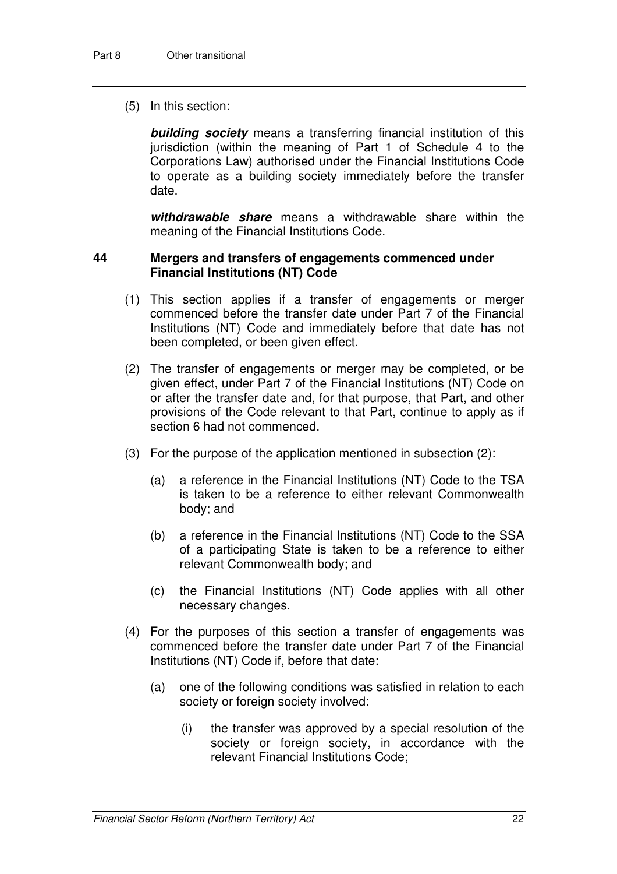(5) In this section:

**building society** means a transferring financial institution of this jurisdiction (within the meaning of Part 1 of Schedule 4 to the Corporations Law) authorised under the Financial Institutions Code to operate as a building society immediately before the transfer date.

**withdrawable share** means a withdrawable share within the meaning of the Financial Institutions Code.

#### **44 Mergers and transfers of engagements commenced under Financial Institutions (NT) Code**

- (1) This section applies if a transfer of engagements or merger commenced before the transfer date under Part 7 of the Financial Institutions (NT) Code and immediately before that date has not been completed, or been given effect.
- (2) The transfer of engagements or merger may be completed, or be given effect, under Part 7 of the Financial Institutions (NT) Code on or after the transfer date and, for that purpose, that Part, and other provisions of the Code relevant to that Part, continue to apply as if section 6 had not commenced.
- (3) For the purpose of the application mentioned in subsection (2):
	- (a) a reference in the Financial Institutions (NT) Code to the TSA is taken to be a reference to either relevant Commonwealth body; and
	- (b) a reference in the Financial Institutions (NT) Code to the SSA of a participating State is taken to be a reference to either relevant Commonwealth body; and
	- (c) the Financial Institutions (NT) Code applies with all other necessary changes.
- (4) For the purposes of this section a transfer of engagements was commenced before the transfer date under Part 7 of the Financial Institutions (NT) Code if, before that date:
	- (a) one of the following conditions was satisfied in relation to each society or foreign society involved:
		- (i) the transfer was approved by a special resolution of the society or foreign society, in accordance with the relevant Financial Institutions Code;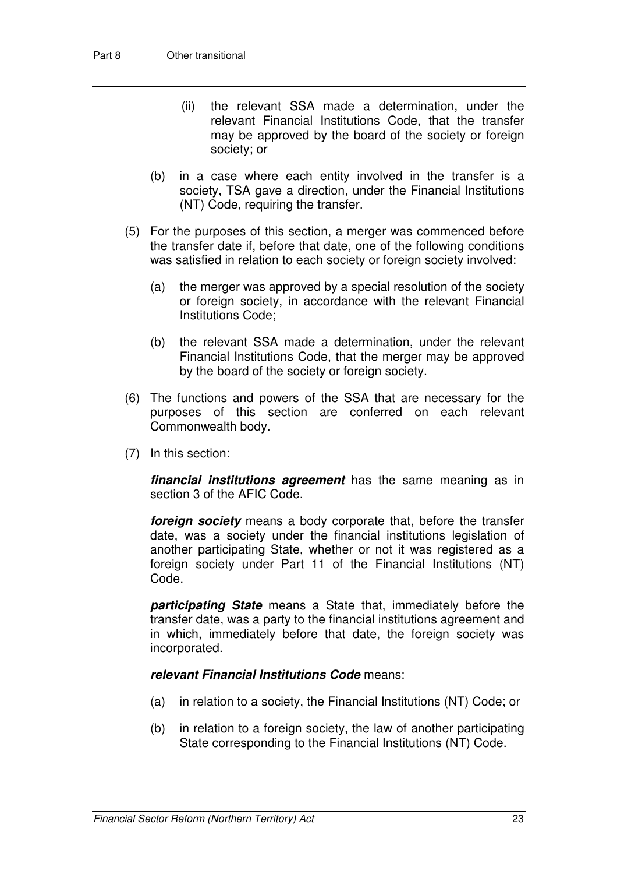- (ii) the relevant SSA made a determination, under the relevant Financial Institutions Code, that the transfer may be approved by the board of the society or foreign society; or
- (b) in a case where each entity involved in the transfer is a society, TSA gave a direction, under the Financial Institutions (NT) Code, requiring the transfer.
- (5) For the purposes of this section, a merger was commenced before the transfer date if, before that date, one of the following conditions was satisfied in relation to each society or foreign society involved:
	- (a) the merger was approved by a special resolution of the society or foreign society, in accordance with the relevant Financial Institutions Code;
	- (b) the relevant SSA made a determination, under the relevant Financial Institutions Code, that the merger may be approved by the board of the society or foreign society.
- (6) The functions and powers of the SSA that are necessary for the purposes of this section are conferred on each relevant Commonwealth body.
- (7) In this section:

**financial institutions agreement** has the same meaning as in section 3 of the AFIC Code.

**foreign society** means a body corporate that, before the transfer date, was a society under the financial institutions legislation of another participating State, whether or not it was registered as a foreign society under Part 11 of the Financial Institutions (NT) Code.

**participating State** means a State that, immediately before the transfer date, was a party to the financial institutions agreement and in which, immediately before that date, the foreign society was incorporated.

#### **relevant Financial Institutions Code** means:

- (a) in relation to a society, the Financial Institutions (NT) Code; or
- (b) in relation to a foreign society, the law of another participating State corresponding to the Financial Institutions (NT) Code.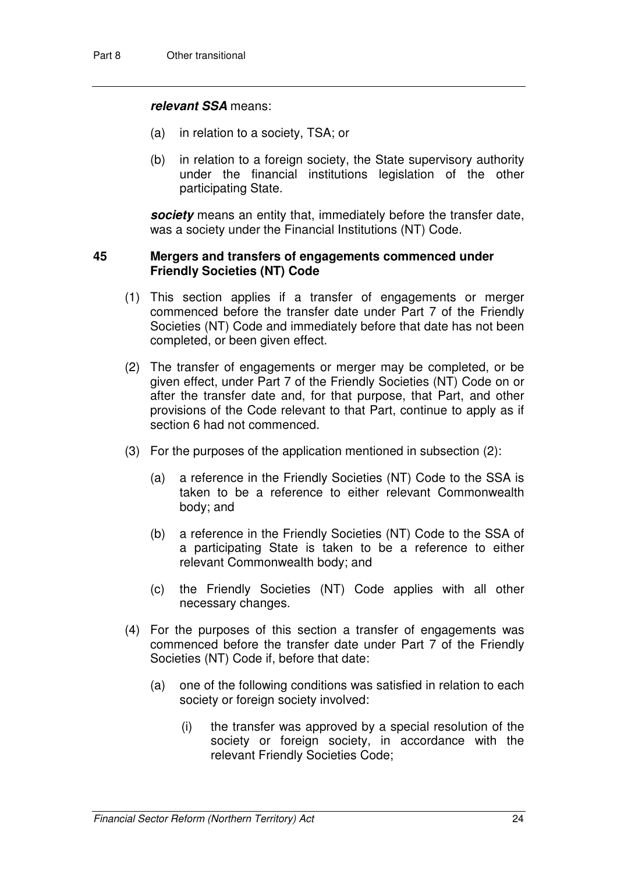#### **relevant SSA** means:

- (a) in relation to a society, TSA; or
- (b) in relation to a foreign society, the State supervisory authority under the financial institutions legislation of the other participating State.

**society** means an entity that, immediately before the transfer date, was a society under the Financial Institutions (NT) Code.

#### **45 Mergers and transfers of engagements commenced under Friendly Societies (NT) Code**

- (1) This section applies if a transfer of engagements or merger commenced before the transfer date under Part 7 of the Friendly Societies (NT) Code and immediately before that date has not been completed, or been given effect.
- (2) The transfer of engagements or merger may be completed, or be given effect, under Part 7 of the Friendly Societies (NT) Code on or after the transfer date and, for that purpose, that Part, and other provisions of the Code relevant to that Part, continue to apply as if section 6 had not commenced.
- (3) For the purposes of the application mentioned in subsection (2):
	- (a) a reference in the Friendly Societies (NT) Code to the SSA is taken to be a reference to either relevant Commonwealth body; and
	- (b) a reference in the Friendly Societies (NT) Code to the SSA of a participating State is taken to be a reference to either relevant Commonwealth body; and
	- (c) the Friendly Societies (NT) Code applies with all other necessary changes.
- (4) For the purposes of this section a transfer of engagements was commenced before the transfer date under Part 7 of the Friendly Societies (NT) Code if, before that date:
	- (a) one of the following conditions was satisfied in relation to each society or foreign society involved:
		- (i) the transfer was approved by a special resolution of the society or foreign society, in accordance with the relevant Friendly Societies Code;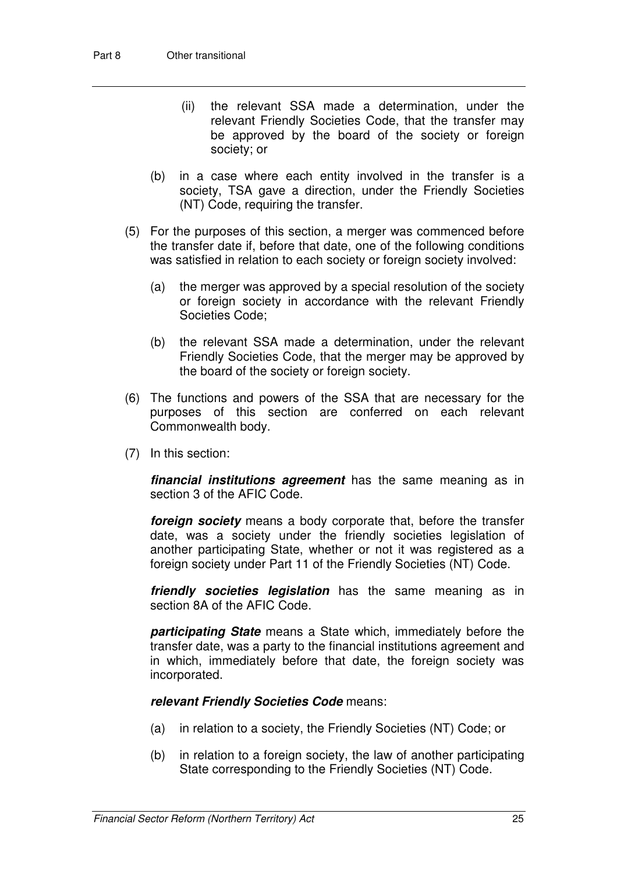- (ii) the relevant SSA made a determination, under the relevant Friendly Societies Code, that the transfer may be approved by the board of the society or foreign society; or
- (b) in a case where each entity involved in the transfer is a society, TSA gave a direction, under the Friendly Societies (NT) Code, requiring the transfer.
- (5) For the purposes of this section, a merger was commenced before the transfer date if, before that date, one of the following conditions was satisfied in relation to each society or foreign society involved:
	- (a) the merger was approved by a special resolution of the society or foreign society in accordance with the relevant Friendly Societies Code;
	- (b) the relevant SSA made a determination, under the relevant Friendly Societies Code, that the merger may be approved by the board of the society or foreign society.
- (6) The functions and powers of the SSA that are necessary for the purposes of this section are conferred on each relevant Commonwealth body.
- (7) In this section:

**financial institutions agreement** has the same meaning as in section 3 of the AFIC Code.

**foreign society** means a body corporate that, before the transfer date, was a society under the friendly societies legislation of another participating State, whether or not it was registered as a foreign society under Part 11 of the Friendly Societies (NT) Code.

**friendly societies legislation** has the same meaning as in section 8A of the AFIC Code.

**participating State** means a State which, immediately before the transfer date, was a party to the financial institutions agreement and in which, immediately before that date, the foreign society was incorporated.

#### **relevant Friendly Societies Code** means:

- (a) in relation to a society, the Friendly Societies (NT) Code; or
- (b) in relation to a foreign society, the law of another participating State corresponding to the Friendly Societies (NT) Code.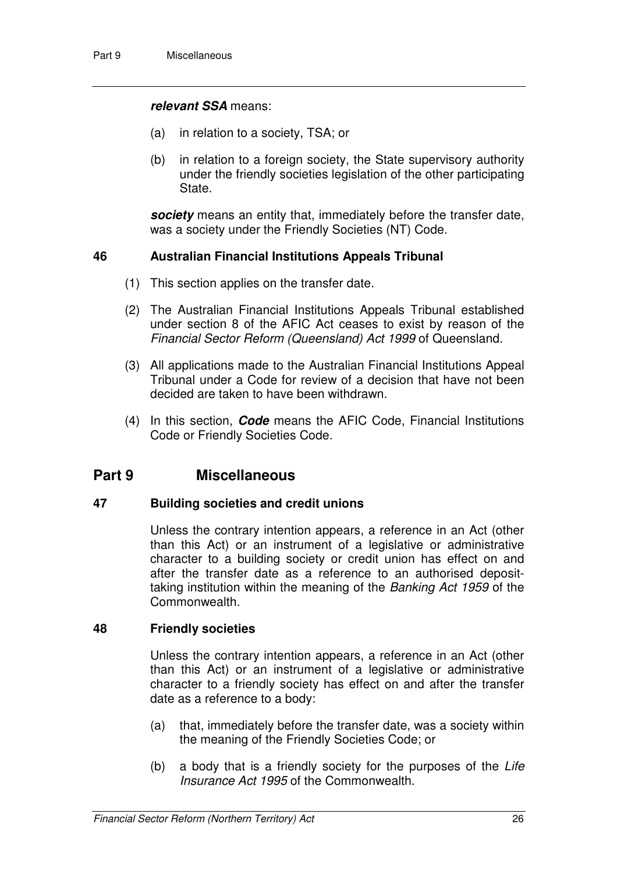#### **relevant SSA** means:

- (a) in relation to a society, TSA; or
- (b) in relation to a foreign society, the State supervisory authority under the friendly societies legislation of the other participating State.

**society** means an entity that, immediately before the transfer date, was a society under the Friendly Societies (NT) Code.

#### **46 Australian Financial Institutions Appeals Tribunal**

- (1) This section applies on the transfer date.
- (2) The Australian Financial Institutions Appeals Tribunal established under section 8 of the AFIC Act ceases to exist by reason of the Financial Sector Reform (Queensland) Act 1999 of Queensland.
- (3) All applications made to the Australian Financial Institutions Appeal Tribunal under a Code for review of a decision that have not been decided are taken to have been withdrawn.
- (4) In this section, **Code** means the AFIC Code, Financial Institutions Code or Friendly Societies Code.

# **Part 9 Miscellaneous**

#### **47 Building societies and credit unions**

Unless the contrary intention appears, a reference in an Act (other than this Act) or an instrument of a legislative or administrative character to a building society or credit union has effect on and after the transfer date as a reference to an authorised deposittaking institution within the meaning of the Banking Act 1959 of the Commonwealth.

#### **48 Friendly societies**

Unless the contrary intention appears, a reference in an Act (other than this Act) or an instrument of a legislative or administrative character to a friendly society has effect on and after the transfer date as a reference to a body:

- (a) that, immediately before the transfer date, was a society within the meaning of the Friendly Societies Code; or
- (b) a body that is a friendly society for the purposes of the Life Insurance Act 1995 of the Commonwealth.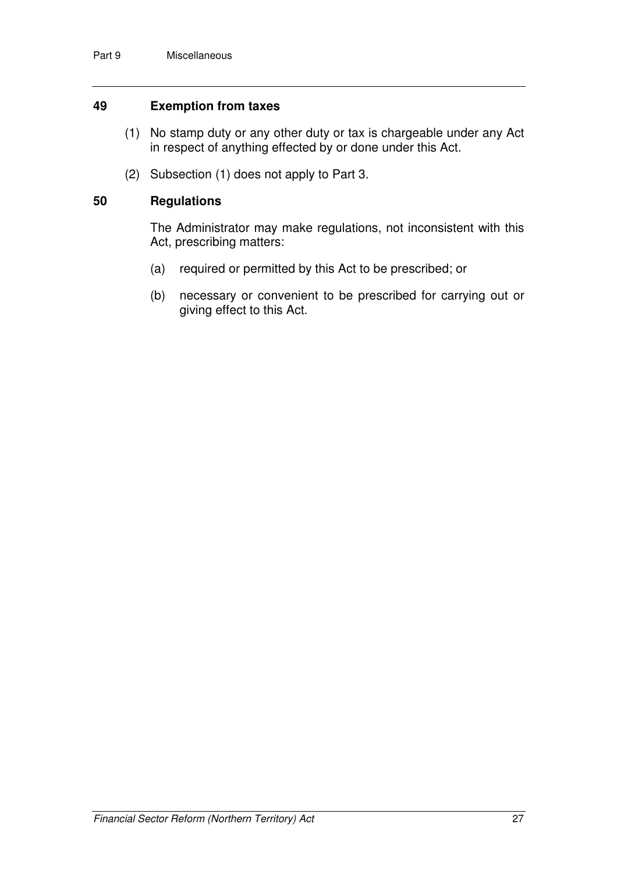#### **49 Exemption from taxes**

- (1) No stamp duty or any other duty or tax is chargeable under any Act in respect of anything effected by or done under this Act.
- (2) Subsection (1) does not apply to Part 3.

#### **50 Regulations**

The Administrator may make regulations, not inconsistent with this Act, prescribing matters:

- (a) required or permitted by this Act to be prescribed; or
- (b) necessary or convenient to be prescribed for carrying out or giving effect to this Act.